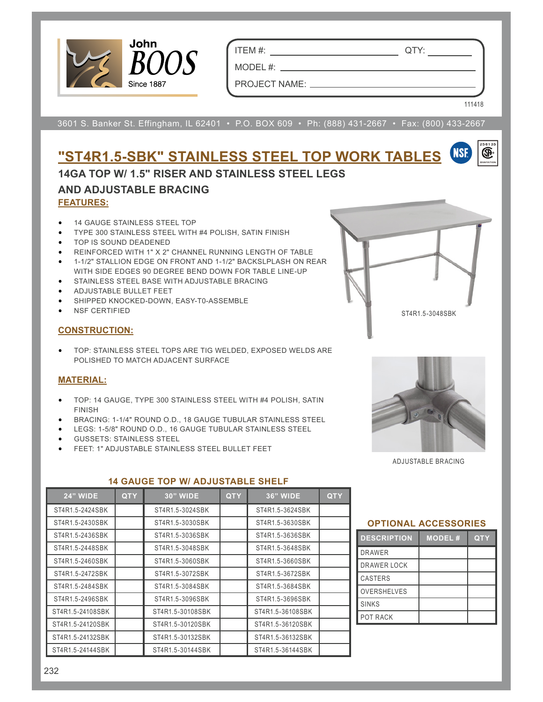

ITEM #: QTY:

MODEL #:

PROJECT NAME:

3601 S. Banker St. Effingham, IL 62401 • P.O. BOX 609 • Ph: (888) 431-2667 • Fax: (800) 433-2667

# **"ST4R1.5-SBK" STAINLESS STEEL TOP WORK TABLES** NSF **14GA TOP W/ 1.5" RISER AND STAINLESS STEEL LEGS AND ADJUSTABLE BRACING FEATURES:**

- 14 GAUGE STAINLESS STEEL TOP
- TYPE 300 STAINLESS STEEL WITH #4 POLISH, SATIN FINISH
- TOP IS SOUND DEADENED
- REINFORCED WITH 1" X 2" CHANNEL RUNNING LENGTH OF TABLE
- 1-1/2" STALLION EDGE ON FRONT AND 1-1/2" BACKSLPLASH ON REAR WITH SIDE EDGES 90 DEGREE BEND DOWN FOR TABLE LINE-UP
- STAINLESS STEEL BASE WITH ADJUSTABLE BRACING
- ADJUSTABLE BULLET FEET
- SHIPPED KNOCKED-DOWN, EASY-T0-ASSEMBLE
- NSF CERTIFIED

#### **CONSTRUCTION:**

• TOP: STAINLESS STEEL TOPS ARE TIG WELDED, EXPOSED WELDS ARE POLISHED TO MATCH ADJACENT SURFACE

### **MATERIAL:**

- TOP: 14 GAUGE, TYPE 300 STAINLESS STEEL WITH #4 POLISH, SATIN FINISH
- BRACING: 1-1/4" ROUND O.D., 18 GAUGE TUBULAR STAINLESS STEEL
- LEGS: 1-5/8" ROUND O.D., 16 GAUGE TUBULAR STAINLESS STEEL
- GUSSETS: STAINLESS STEEL
- FEET: 1" ADJUSTABLE STAINLESS STEEL BULLET FEET



ST4R1.5-3048SBK

111418

ADJUSTABLE BRACING

| <b>24" WIDE</b>  | <b>QTY</b> | <b>30" WIDE</b>  | <b>QTY</b> | <b>36" WIDE</b>  | <b>QTY</b> |
|------------------|------------|------------------|------------|------------------|------------|
| ST4R1.5-2424SBK  |            | ST4R1.5-3024SBK  |            | ST4R1.5-3624SBK  |            |
| ST4R1.5-2430SBK  |            | ST4R1.5-3030SBK  |            | ST4R1.5-3630SBK  |            |
| ST4R1.5-2436SBK  |            | ST4R1.5-3036SBK  |            | ST4R1.5-3636SBK  |            |
| ST4R1.5-2448SBK  |            | ST4R1.5-3048SBK  |            | ST4R1.5-3648SBK  |            |
| ST4R1.5-2460SBK  |            | ST4R1.5-3060SBK  |            | ST4R1.5-3660SBK  |            |
| ST4R1.5-2472SBK  |            | ST4R1.5-3072SBK  |            | ST4R1.5-3672SBK  |            |
| ST4R1.5-2484SBK  |            | ST4R1.5-3084SBK  |            | ST4R1.5-3684SBK  |            |
| ST4R1.5-2496SBK  |            | ST4R1.5-3096SBK  |            | ST4R1.5-3696SBK  |            |
| ST4R1.5-24108SBK |            | ST4R1.5-30108SBK |            | ST4R1.5-36108SBK |            |
| ST4R1.5-24120SBK |            | ST4R1.5-30120SBK |            | ST4R1.5-36120SBK |            |
| ST4R1.5-24132SBK |            | ST4R1.5-30132SBK |            | ST4R1.5-36132SBK |            |
| ST4R1.5-24144SBK |            | ST4R1.5-30144SBK |            | ST4R1.5-36144SBK |            |

### **14 GAUGE TOP W/ ADJUSTABLE SHELF**

## **OPTIONAL ACCESSORIES**

| <b>DESCRIPTION</b> | <b>MODEL#</b> | <b>QTY</b> |
|--------------------|---------------|------------|
| <b>DRAWER</b>      |               |            |
| <b>DRAWER LOCK</b> |               |            |
| <b>CASTERS</b>     |               |            |
| <b>OVERSHELVES</b> |               |            |
| <b>SINKS</b>       |               |            |
| POT RACK           |               |            |